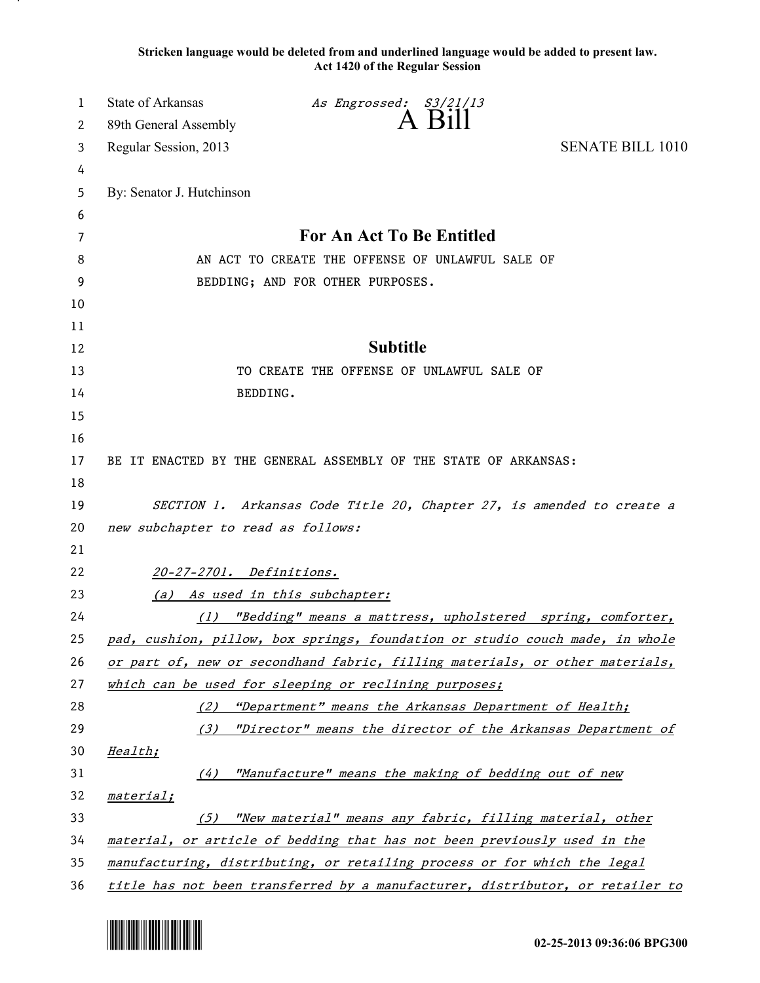**Stricken language would be deleted from and underlined language would be added to present law. Act 1420 of the Regular Session**

| 1  | State of Arkansas                  | As Engrossed: S3/21/13                                                        |                         |
|----|------------------------------------|-------------------------------------------------------------------------------|-------------------------|
| 2  | 89th General Assembly              | $A$ Bill                                                                      |                         |
| 3  | Regular Session, 2013              |                                                                               | <b>SENATE BILL 1010</b> |
| 4  |                                    |                                                                               |                         |
| 5  | By: Senator J. Hutchinson          |                                                                               |                         |
| 6  |                                    |                                                                               |                         |
| 7  |                                    | For An Act To Be Entitled                                                     |                         |
| 8  |                                    | AN ACT TO CREATE THE OFFENSE OF UNLAWFUL SALE OF                              |                         |
| 9  |                                    | BEDDING; AND FOR OTHER PURPOSES.                                              |                         |
| 10 |                                    |                                                                               |                         |
| 11 |                                    |                                                                               |                         |
| 12 |                                    | <b>Subtitle</b>                                                               |                         |
| 13 |                                    | TO CREATE THE OFFENSE OF UNLAWFUL SALE OF                                     |                         |
| 14 |                                    | BEDDING.                                                                      |                         |
| 15 |                                    |                                                                               |                         |
| 16 |                                    |                                                                               |                         |
| 17 |                                    | BE IT ENACTED BY THE GENERAL ASSEMBLY OF THE STATE OF ARKANSAS:               |                         |
| 18 |                                    |                                                                               |                         |
| 19 |                                    | SECTION 1. Arkansas Code Title 20, Chapter 27, is amended to create a         |                         |
| 20 | new subchapter to read as follows: |                                                                               |                         |
| 21 |                                    |                                                                               |                         |
| 22 | 20-27-2701. Definitions.           |                                                                               |                         |
| 23 |                                    | (a) As used in this subchapter:                                               |                         |
| 24 |                                    | (1) "Bedding" means a mattress, upholstered spring, comforter,                |                         |
| 25 |                                    | pad, cushion, pillow, box springs, foundation or studio couch made, in whole  |                         |
| 26 |                                    | or part of, new or secondhand fabric, filling materials, or other materials,  |                         |
| 27 |                                    | which can be used for sleeping or reclining purposes;                         |                         |
| 28 | (2)                                | "Department" means the Arkansas Department of Health;                         |                         |
| 29 | (3)                                | "Director" means the director of the Arkansas Department of                   |                         |
| 30 | Health;                            |                                                                               |                         |
| 31 | (4)                                | "Manufacture" means the making of bedding out of new                          |                         |
| 32 | material;                          |                                                                               |                         |
| 33 | (5)                                | "New material" means any fabric, filling material, other                      |                         |
| 34 |                                    | material, or article of bedding that has not been previously used in the      |                         |
| 35 |                                    | manufacturing, distributing, or retailing process or for which the legal      |                         |
| 36 |                                    | title has not been transferred by a manufacturer, distributor, or retailer to |                         |

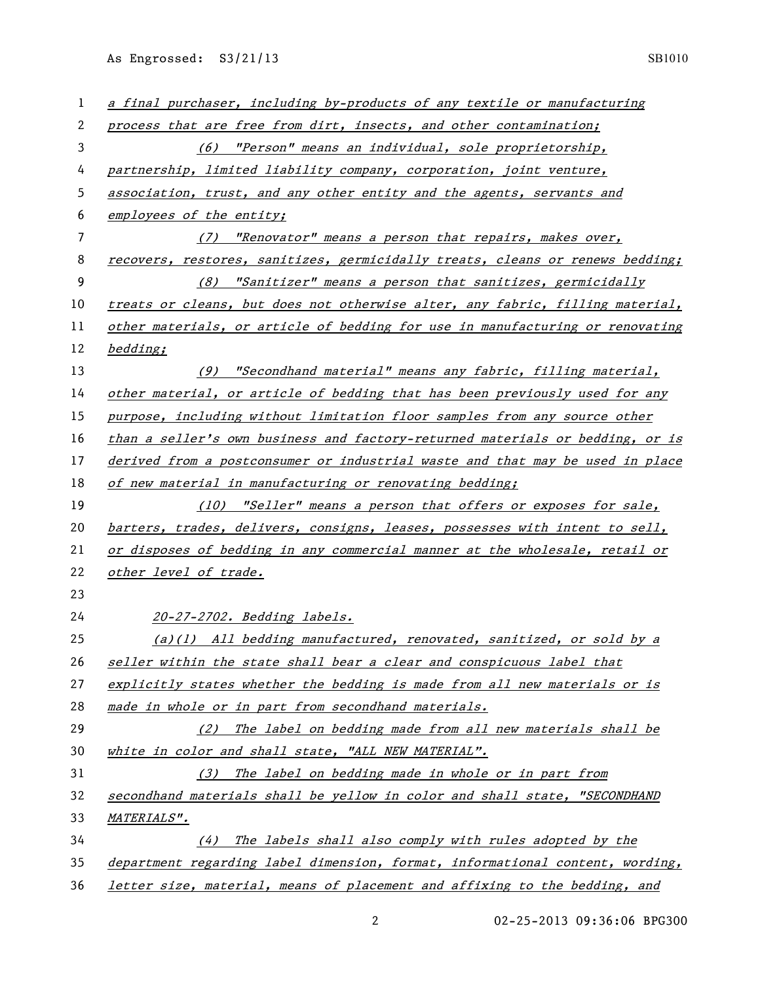As Engrossed: S3/21/13 SB1010

| $\mathbf{1}$ | a final purchaser, including by-products of any textile or manufacturing      |
|--------------|-------------------------------------------------------------------------------|
| 2            | process that are free from dirt, insects, and other contamination;            |
| 3            | (6) "Person" means an individual, sole proprietorship,                        |
| 4            | partnership, limited liability company, corporation, joint venture,           |
| 5            | association, trust, and any other entity and the agents, servants and         |
| 6            | employees of the entity;                                                      |
| 7            | "Renovator" means a person that repairs, makes over,<br>(7)                   |
| 8            | recovers, restores, sanitizes, germicidally treats, cleans or renews bedding; |
| 9            | "Sanitizer" means a person that sanitizes, germicidally<br>(8)                |
| 10           | treats or cleans, but does not otherwise alter, any fabric, filling material, |
| 11           | other materials, or article of bedding for use in manufacturing or renovating |
| 12           | bedding;                                                                      |
| 13           | "Secondhand material" means any fabric, filling material,<br>(9)              |
| 14           | other material, or article of bedding that has been previously used for any   |
| 15           | purpose, including without limitation floor samples from any source other     |
| 16           | than a seller's own business and factory-returned materials or bedding, or is |
| 17           | derived from a postconsumer or industrial waste and that may be used in place |
| 18           | of new material in manufacturing or renovating bedding;                       |
| 19           | (10) "Seller" means a person that offers or exposes for sale,                 |
| 20           | barters, trades, delivers, consigns, leases, possesses with intent to sell,   |
| 21           | or disposes of bedding in any commercial manner at the wholesale, retail or   |
| 22           | other level of trade.                                                         |
| 23           |                                                                               |
| 24           | 20-27-2702. Bedding labels.                                                   |
| 25           | $(a)(1)$ All bedding manufactured, renovated, sanitized, or sold by a         |
| 26           | seller within the state shall bear a clear and conspicuous label that         |
| 27           | explicitly states whether the bedding is made from all new materials or is    |
| 28           | made in whole or in part from secondhand materials.                           |
| 29           | (2) The label on bedding made from all new materials shall be                 |
| 30           | white in color and shall state, "ALL NEW MATERIAL".                           |
| 31           | (3) The label on bedding made in whole or in part from                        |
| 32           | secondhand materials shall be yellow in color and shall state, "SECONDHAND    |
| 33           | <i>MATERIALS".</i>                                                            |
| 34           | The labels shall also comply with rules adopted by the<br>(4)                 |
| 35           | department regarding label dimension, format, informational content, wording, |
| 36           | letter size, material, means of placement and affixing to the bedding, and    |

02-25-2013 09:36:06 BPG300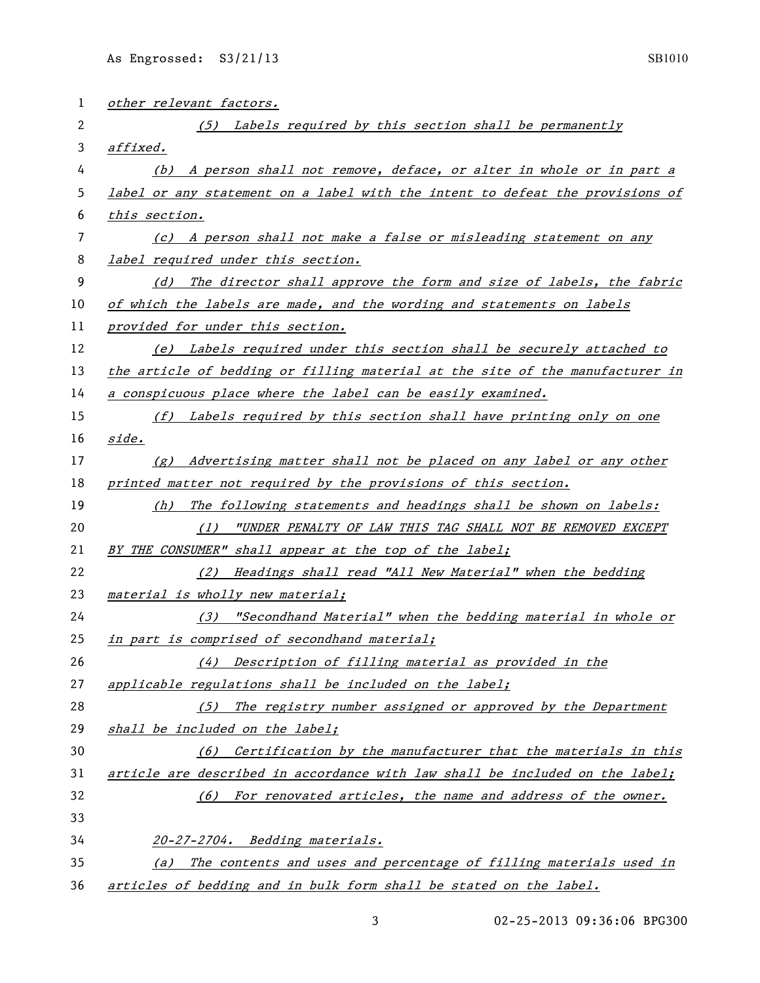| 1  | other relevant factors.                                                                |
|----|----------------------------------------------------------------------------------------|
| 2  | (5) Labels required by this section shall be permanently                               |
| 3  | affixed.                                                                               |
| 4  | (b) A person shall not remove, deface, or alter in whole or in part a                  |
| 5  | label or any statement on a label with the intent to defeat the provisions of          |
| 6  | this section.                                                                          |
| 7  | (c) A person shall not make a false or misleading statement on any                     |
| 8  | label required under this section.                                                     |
| 9  | (d) The director shall approve the form and size of labels, the fabric                 |
| 10 | of which the labels are made, and the wording and statements on labels                 |
| 11 | provided for under this section.                                                       |
| 12 | (e) Labels required under this section shall be securely attached to                   |
| 13 | the article of bedding or filling material at the site of the manufacturer in          |
| 14 | a conspicuous place where the label can be easily examined.                            |
| 15 | (f) Labels required by this section shall have printing only on one                    |
| 16 | side.                                                                                  |
| 17 | (g) Advertising matter shall not be placed on any label or any other                   |
| 18 | printed matter not required by the provisions of this section.                         |
| 19 | The following statements and headings shall be shown on labels:<br>(h)                 |
| 20 | "UNDER PENALTY OF LAW THIS TAG SHALL NOT BE REMOVED EXCEPT<br>(1)                      |
| 21 | BY THE CONSUMER" shall appear at the top of the label;                                 |
| 22 | Headings shall read "All New Material" when the bedding<br>(2)                         |
| 23 | material is wholly new material;                                                       |
| 24 | (3) "Secondhand Material" when the bedding material in whole or                        |
| 25 | in part is comprised of secondhand material;                                           |
| 26 | Description of filling material as provided in the<br>(4)                              |
| 27 | applicable regulations shall be included on the label;                                 |
| 28 | (5) The registry number assigned or approved by the Department                         |
| 29 | shall be included on the label;                                                        |
| 30 | Certification by the manufacturer that the materials in this<br>(6)                    |
| 31 | article are described in accordance with law shall be included on the label;           |
| 32 | (6) For renovated articles, the name and address of the owner.                         |
| 33 |                                                                                        |
| 34 | 20-27-2704. Bedding materials.                                                         |
| 35 | The contents and uses and percentage of filling materials used in<br>$\left( a\right)$ |
| 36 | articles of bedding and in bulk form shall be stated on the label.                     |

02-25-2013 09:36:06 BPG300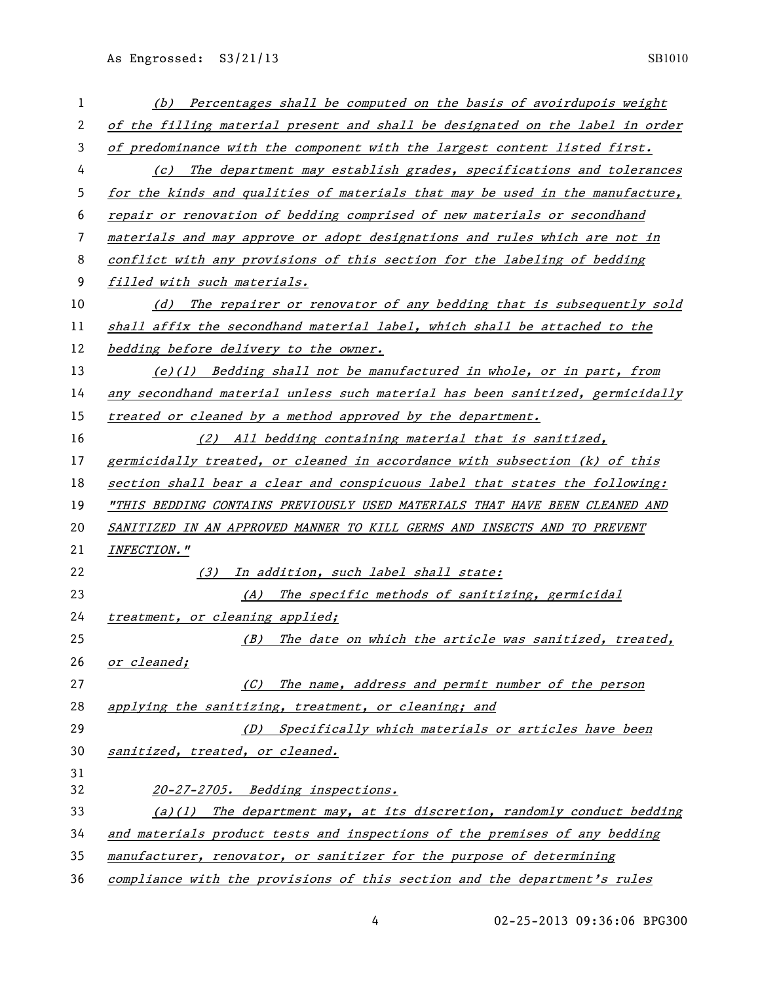| 1  | (b) Percentages shall be computed on the basis of avoirdupois weight          |
|----|-------------------------------------------------------------------------------|
| 2  | of the filling material present and shall be designated on the label in order |
| 3  | of predominance with the component with the largest content listed first.     |
| 4  | The department may establish grades, specifications and tolerances<br>(c)     |
| 5  | for the kinds and qualities of materials that may be used in the manufacture, |
| 6  | repair or renovation of bedding comprised of new materials or secondhand      |
| 7  | materials and may approve or adopt designations and rules which are not in    |
| 8  | conflict with any provisions of this section for the labeling of bedding      |
| 9  | filled with such materials.                                                   |
| 10 | The repairer or renovator of any bedding that is subsequently sold<br>(d)     |
| 11 | shall affix the secondhand material label, which shall be attached to the     |
| 12 | bedding before delivery to the owner.                                         |
| 13 | (e)(1) Bedding shall not be manufactured in whole, or in part, from           |
| 14 | any secondhand material unless such material has been sanitized, germicidally |
| 15 | treated or cleaned by a method approved by the department.                    |
| 16 | (2) All bedding containing material that is sanitized,                        |
| 17 | germicidally treated, or cleaned in accordance with subsection (k) of this    |
| 18 | section shall bear a clear and conspicuous label that states the following:   |
| 19 | "THIS BEDDING CONTAINS PREVIOUSLY USED MATERIALS THAT HAVE BEEN CLEANED AND   |
| 20 | SANITIZED IN AN APPROVED MANNER TO KILL GERMS AND INSECTS AND TO PREVENT      |
| 21 | <b>INFECTION."</b>                                                            |
| 22 | In addition, such label shall state:<br>(3)                                   |
| 23 | (A) The specific methods of sanitizing, germicidal                            |
| 24 | treatment, or cleaning applied;                                               |
| 25 | The date on which the article was sanitized, treated,<br>(B)                  |
| 26 | or cleaned;                                                                   |
| 27 | The name, address and permit number of the person<br>(C)                      |
| 28 | applying the sanitizing, treatment, or cleaning; and                          |
| 29 | (D) Specifically which materials or articles have been                        |
| 30 | sanitized, treated, or cleaned.                                               |
| 31 |                                                                               |
| 32 | 20-27-2705. Bedding inspections.                                              |
| 33 | $(a)(1)$ The department may, at its discretion, randomly conduct bedding      |
| 34 | and materials product tests and inspections of the premises of any bedding    |
| 35 | manufacturer, renovator, or sanitizer for the purpose of determining          |
| 36 | compliance with the provisions of this section and the department's rules     |

02-25-2013 09:36:06 BPG300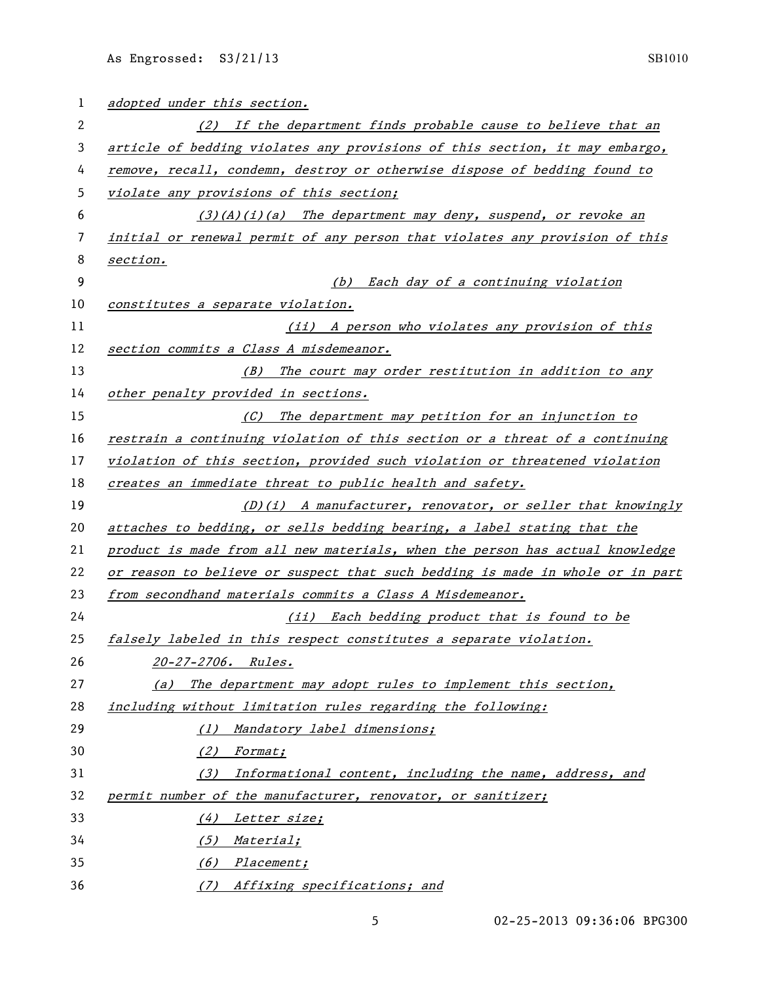| 1  | adopted under this section.                                                   |
|----|-------------------------------------------------------------------------------|
| 2  | (2) If the department finds probable cause to believe that an                 |
| 3  | article of bedding violates any provisions of this section, it may embargo,   |
| 4  | remove, recall, condemn, destroy or otherwise dispose of bedding found to     |
| 5  | violate any provisions of this section;                                       |
| 6  | $(3)(A)(i)(a)$ The department may deny, suspend, or revoke an                 |
| 7  | initial or renewal permit of any person that violates any provision of this   |
| 8  | section.                                                                      |
| 9  | (b) Each day of a continuing violation                                        |
| 10 | constitutes a separate violation.                                             |
| 11 | (ii) A person who violates any provision of this                              |
| 12 | section commits a Class A misdemeanor.                                        |
| 13 | (B) The court may order restitution in addition to any                        |
| 14 | other penalty provided in sections.                                           |
| 15 | (C) The department may petition for an injunction to                          |
| 16 | restrain a continuing violation of this section or a threat of a continuing   |
| 17 | violation of this section, provided such violation or threatened violation    |
| 18 | creates an immediate threat to public health and safety.                      |
| 19 | (D)(i) A manufacturer, renovator, or seller that knowingly                    |
| 20 | attaches to bedding, or sells bedding bearing, a label stating that the       |
| 21 | product is made from all new materials, when the person has actual knowledge  |
| 22 | or reason to believe or suspect that such bedding is made in whole or in part |
| 23 | from secondhand materials commits a Class A Misdemeanor.                      |
| 24 | (ii) Each bedding product that is found to be                                 |
| 25 | falsely labeled in this respect constitutes a separate violation.             |
| 26 | 20-27-2706. Rules.                                                            |
| 27 | (a) The department may adopt rules to implement this section,                 |
| 28 | including without limitation rules regarding the following:                   |
| 29 | (1) Mandatory label dimensions;                                               |
| 30 | (2) Format;                                                                   |
| 31 | Informational content, including the name, address, and<br>(3)                |
| 32 | permit number of the manufacturer, renovator, or sanitizer;                   |
| 33 | Letter size;<br>(4)                                                           |
| 34 | (5) Material;                                                                 |
| 35 | (6) Placement;                                                                |
| 36 | (7) Affixing specifications; and                                              |